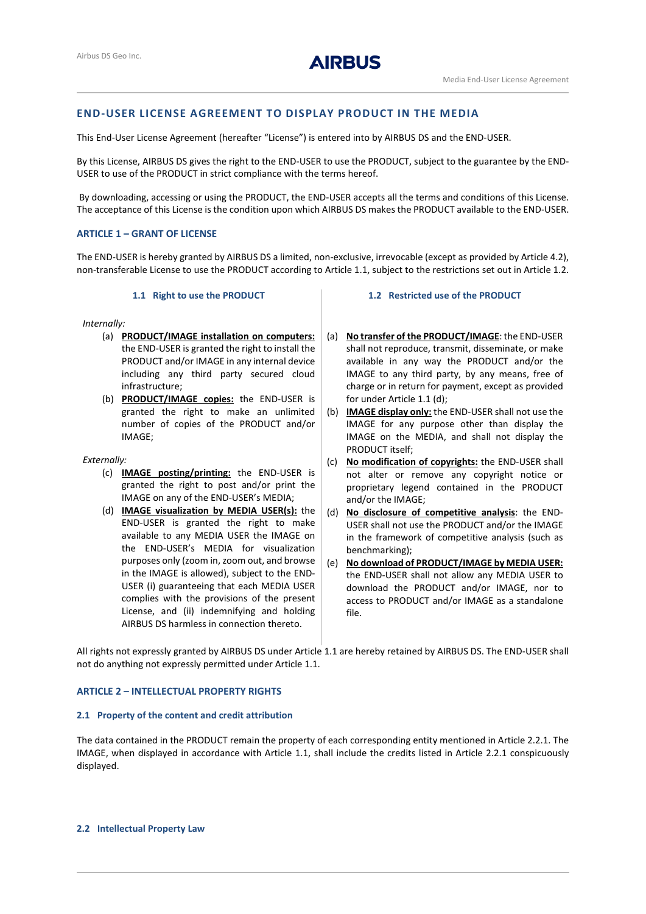# **AIRBUS**

## **END-USER LICENSE AGREEMENT TO DISPLAY PRODUCT IN THE MEDIA**

This End-User License Agreement (hereafter "License") is entered into by AIRBUS DS and the END-USER.

By this License, AIRBUS DS gives the right to the END-USER to use the PRODUCT, subject to the guarantee by the END-USER to use of the PRODUCT in strict compliance with the terms hereof.

By downloading, accessing or using the PRODUCT, the END-USER accepts all the terms and conditions of this License. The acceptance of this License is the condition upon which AIRBUS DS makes the PRODUCT available to the END-USER.

## **ARTICLE 1 – GRANT OF LICENSE**

The END-USER is hereby granted by AIRBUS DS a limited, non-exclusive, irrevocable (except as provided by Article 4.2), non-transferable License to use the PRODUCT according to Article 1.1, subject to the restrictions set out in Article 1.2.

## **1.1 Right to use the PRODUCT**

<span id="page-0-1"></span>*Internally:*

- (a) **PRODUCT/IMAGE installation on computers:**  the END-USER is granted the right to install the PRODUCT and/or IMAGE in any internal device including any third party secured cloud infrastructure;
- (b) **PRODUCT/IMAGE copies:** the END-USER is granted the right to make an unlimited number of copies of the PRODUCT and/or IMAGE;

#### *Externally:*

- (c) **IMAGE posting/printing:** the END-USER is granted the right to post and/or print the IMAGE on any of the END-USER's MEDIA;
- <span id="page-0-0"></span>(d) **IMAGE visualization by MEDIA USER(s):** the END-USER is granted the right to make available to any MEDIA USER the IMAGE on the END-USER's MEDIA for visualization purposes only (zoom in, zoom out, and browse in the IMAGE is allowed), subject to the END-USER (i) guaranteeing that each MEDIA USER complies with the provisions of the present License, and (ii) indemnifying and holding AIRBUS DS harmless in connection thereto.

#### **1.2 Restricted use of the PRODUCT**

- (a) **No transfer of the PRODUCT/IMAGE**: the END-USER shall not reproduce, transmit, disseminate, or make available in any way the PRODUCT and/or the IMAGE to any third party, by any means, free of charge or in return for payment, except as provided for under Article 1.[1 \(d\);](#page-0-0)
- (b) **IMAGE display only:** the END-USER shall not use the IMAGE for any purpose other than display the IMAGE on the MEDIA, and shall not display the PRODUCT itself;
- (c) **No modification of copyrights:** the END-USER shall not alter or remove any copyright notice or proprietary legend contained in the PRODUCT and/or the IMAGE;
- (d) **No disclosure of competitive analysis**: the END-USER shall not use the PRODUCT and/or the IMAGE in the framework of competitive analysis (such as benchmarking);
- (e) **No download of PRODUCT/IMAGE by MEDIA USER:** the END-USER shall not allow any MEDIA USER to download the PRODUCT and/or IMAGE, nor to access to PRODUCT and/or IMAGE as a standalone file.

All rights not expressly granted by AIRBUS DS under Article [1.1](#page-0-1) are hereby retained by AIRBUS DS. The END-USER shall not do anything not expressly permitted under Article [1.1.](#page-0-1)

#### **ARTICLE 2 – INTELLECTUAL PROPERTY RIGHTS**

#### **2.1 Property of the content and credit attribution**

The data contained in the PRODUCT remain the property of each corresponding entity mentioned in Article 2.2.1. The IMAGE, when displayed in accordance with Article [1.1,](#page-0-1) shall include the credits listed in Article 2.2.1 conspicuously displayed.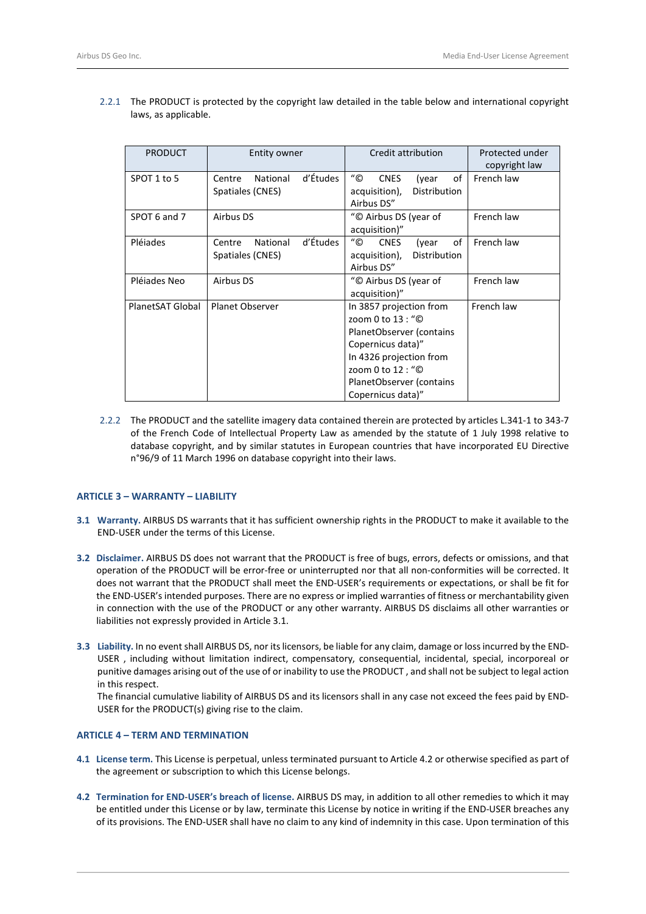| <b>PRODUCT</b>   | Entity owner                   | Credit attribution                          | Protected under<br>copyright law |
|------------------|--------------------------------|---------------------------------------------|----------------------------------|
| SPOT 1 to 5      | d'Études<br>National<br>Centre | "©<br><b>CNES</b><br>of<br>(year            | French law                       |
|                  | Spatiales (CNES)               | Distribution<br>acquisition),<br>Airbus DS" |                                  |
| SPOT 6 and 7     | Airbus DS                      | "© Airbus DS (year of                       | French law                       |
|                  |                                | acquisition)"                               |                                  |
| Pléiades         | d'Études<br>National<br>Centre | "©<br>of<br><b>CNES</b><br>(year            | French law                       |
|                  | Spatiales (CNES)               | Distribution<br>acquisition),               |                                  |
|                  |                                | Airbus DS"                                  |                                  |
| Pléjades Neo     | Airbus DS                      | "© Airbus DS (year of                       | French law                       |
|                  |                                | acquisition)"                               |                                  |
| PlanetSAT Global | <b>Planet Observer</b>         | In 3857 projection from                     | French law                       |
|                  |                                | zoom 0 to 13 : "©                           |                                  |
|                  |                                | PlanetObserver (contains                    |                                  |
|                  |                                | Copernicus data)"                           |                                  |
|                  |                                | In 4326 projection from                     |                                  |
|                  |                                | zoom 0 to 12 : "©                           |                                  |
|                  |                                | PlanetObserver (contains                    |                                  |
|                  |                                | Copernicus data)"                           |                                  |

2.2.1 The PRODUCT is protected by the copyright law detailed in the table below and international copyright laws, as applicable.

2.2.2 The PRODUCT and the satellite imagery data contained therein are protected by articles L.341-1 to 343-7 of the French Code of Intellectual Property Law as amended by the statute of 1 July 1998 relative to database copyright, and by similar statutes in European countries that have incorporated EU Directive n°96/9 of 11 March 1996 on database copyright into their laws.

## **ARTICLE 3 – WARRANTY – LIABILITY**

- <span id="page-1-0"></span>**3.1 Warranty.** AIRBUS DS warrants that it has sufficient ownership rights in the PRODUCT to make it available to the END-USER under the terms of this License.
- **3.2 Disclaimer.** AIRBUS DS does not warrant that the PRODUCT is free of bugs, errors, defects or omissions, and that operation of the PRODUCT will be error-free or uninterrupted nor that all non-conformities will be corrected. It does not warrant that the PRODUCT shall meet the END-USER's requirements or expectations, or shall be fit for the END-USER's intended purposes. There are no express or implied warranties of fitness or merchantability given in connection with the use of the PRODUCT or any other warranty. AIRBUS DS disclaims all other warranties or liabilities not expressly provided in Articl[e 3.1.](#page-1-0)
- **3.3 Liability.** In no event shall AIRBUS DS, nor its licensors, be liable for any claim, damage or loss incurred by the END-USER , including without limitation indirect, compensatory, consequential, incidental, special, incorporeal or punitive damages arising out of the use of or inability to use the PRODUCT , and shall not be subject to legal action in this respect.

The financial cumulative liability of AIRBUS DS and its licensors shall in any case not exceed the fees paid by END-USER for the PRODUCT(s) giving rise to the claim.

## **ARTICLE 4 – TERM AND TERMINATION**

- **4.1 License term.** This License is perpetual, unless terminated pursuant to Article [4.2](#page-1-1) or otherwise specified as part of the agreement or subscription to which this License belongs.
- <span id="page-1-1"></span>**4.2 Termination for END**-**USER's breach of license.** AIRBUS DS may, in addition to all other remedies to which it may be entitled under this License or by law, terminate this License by notice in writing if the END-USER breaches any of its provisions. The END-USER shall have no claim to any kind of indemnity in this case. Upon termination of this